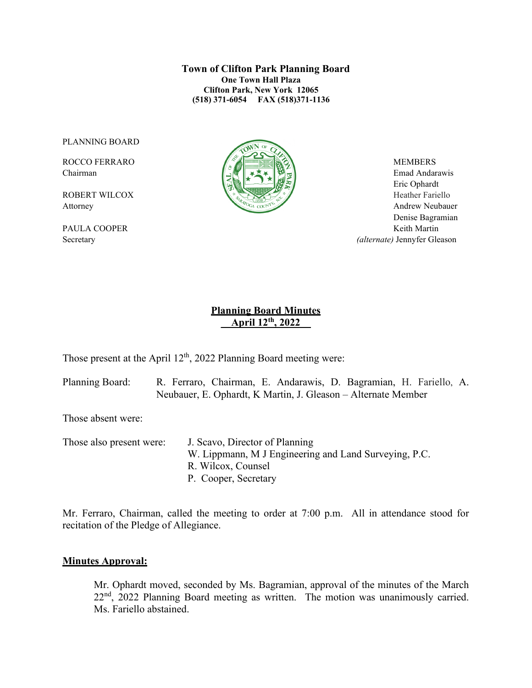**Town of Clifton Park Planning Board One Town Hall Plaza Clifton Park, New York 12065 (518) 371-6054 FAX (518)371-1136**

PLANNING BOARD



Chairman Emad Andarawis  $\left[\begin{array}{c|c} \Delta \end{array}\right]$   $\rightarrow \infty$   $\left[\begin{array}{c|c} \Delta \end{array}\right]$  Emad Andarawis Eric Ophardt Attorney Andrew Neubauer Denise Bagramian PAULA COOPER Keith Martin Secretary *(alternate)* Jennyfer Gleason

## **Planning Board Minutes \_\_April 12th, 2022\_\_**

Those present at the April  $12<sup>th</sup>$ , 2022 Planning Board meeting were:

Planning Board: R. Ferraro, Chairman, E. Andarawis, D. Bagramian, H. Fariello, A. Neubauer, E. Ophardt, K Martin, J. Gleason – Alternate Member

Those absent were:

Those also present were: J. Scavo, Director of Planning W. Lippmann, M J Engineering and Land Surveying, P.C. R. Wilcox, Counsel P. Cooper, Secretary

Mr. Ferraro, Chairman, called the meeting to order at 7:00 p.m. All in attendance stood for recitation of the Pledge of Allegiance.

#### **Minutes Approval:**

Mr. Ophardt moved, seconded by Ms. Bagramian, approval of the minutes of the March  $22<sup>nd</sup>$ , 2022 Planning Board meeting as written. The motion was unanimously carried. Ms. Fariello abstained.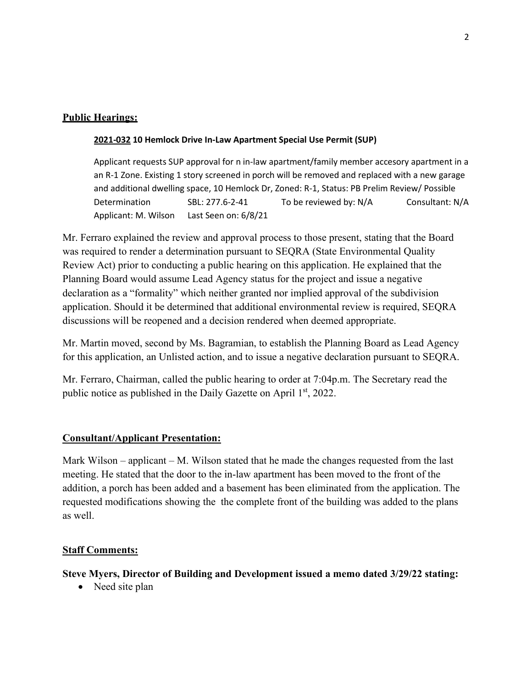## **Public Hearings:**

### **2021-032 10 Hemlock Drive In-Law Apartment Special Use Permit (SUP)**

Applicant requests SUP approval for n in-law apartment/family member accesory apartment in a an R-1 Zone. Existing 1 story screened in porch will be removed and replaced with a new garage and additional dwelling space, 10 Hemlock Dr, Zoned: R-1, Status: PB Prelim Review/ Possible Determination SBL: 277.6-2-41 To be reviewed by: N/A Consultant: N/A Applicant: M. Wilson Last Seen on: 6/8/21

Mr. Ferraro explained the review and approval process to those present, stating that the Board was required to render a determination pursuant to SEQRA (State Environmental Quality Review Act) prior to conducting a public hearing on this application. He explained that the Planning Board would assume Lead Agency status for the project and issue a negative declaration as a "formality" which neither granted nor implied approval of the subdivision application. Should it be determined that additional environmental review is required, SEQRA discussions will be reopened and a decision rendered when deemed appropriate.

Mr. Martin moved, second by Ms. Bagramian, to establish the Planning Board as Lead Agency for this application, an Unlisted action, and to issue a negative declaration pursuant to SEQRA.

Mr. Ferraro, Chairman, called the public hearing to order at 7:04p.m. The Secretary read the public notice as published in the Daily Gazette on April 1<sup>st</sup>, 2022.

## **Consultant/Applicant Presentation:**

Mark Wilson – applicant – M. Wilson stated that he made the changes requested from the last meeting. He stated that the door to the in-law apartment has been moved to the front of the addition, a porch has been added and a basement has been eliminated from the application. The requested modifications showing the the complete front of the building was added to the plans as well.

### **Staff Comments:**

## **Steve Myers, Director of Building and Development issued a memo dated 3/29/22 stating:**

• Need site plan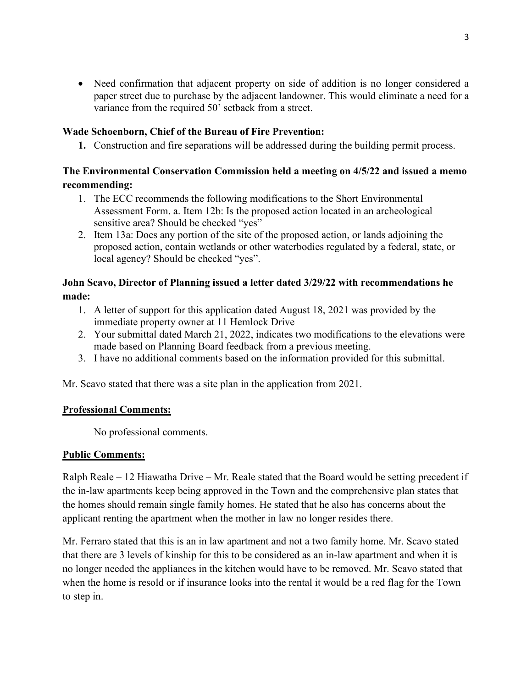• Need confirmation that adjacent property on side of addition is no longer considered a paper street due to purchase by the adjacent landowner. This would eliminate a need for a variance from the required 50' setback from a street.

### **Wade Schoenborn, Chief of the Bureau of Fire Prevention:**

**1.** Construction and fire separations will be addressed during the building permit process.

## **The Environmental Conservation Commission held a meeting on 4/5/22 and issued a memo recommending:**

- 1. The ECC recommends the following modifications to the Short Environmental Assessment Form. a. Item 12b: Is the proposed action located in an archeological sensitive area? Should be checked "yes"
- 2. Item 13a: Does any portion of the site of the proposed action, or lands adjoining the proposed action, contain wetlands or other waterbodies regulated by a federal, state, or local agency? Should be checked "yes".

### **John Scavo, Director of Planning issued a letter dated 3/29/22 with recommendations he made:**

- 1. A letter of support for this application dated August 18, 2021 was provided by the immediate property owner at 11 Hemlock Drive
- 2. Your submittal dated March 21, 2022, indicates two modifications to the elevations were made based on Planning Board feedback from a previous meeting.
- 3. I have no additional comments based on the information provided for this submittal.

Mr. Scavo stated that there was a site plan in the application from 2021.

### **Professional Comments:**

No professional comments.

### **Public Comments:**

Ralph Reale – 12 Hiawatha Drive – Mr. Reale stated that the Board would be setting precedent if the in-law apartments keep being approved in the Town and the comprehensive plan states that the homes should remain single family homes. He stated that he also has concerns about the applicant renting the apartment when the mother in law no longer resides there.

Mr. Ferraro stated that this is an in law apartment and not a two family home. Mr. Scavo stated that there are 3 levels of kinship for this to be considered as an in-law apartment and when it is no longer needed the appliances in the kitchen would have to be removed. Mr. Scavo stated that when the home is resold or if insurance looks into the rental it would be a red flag for the Town to step in.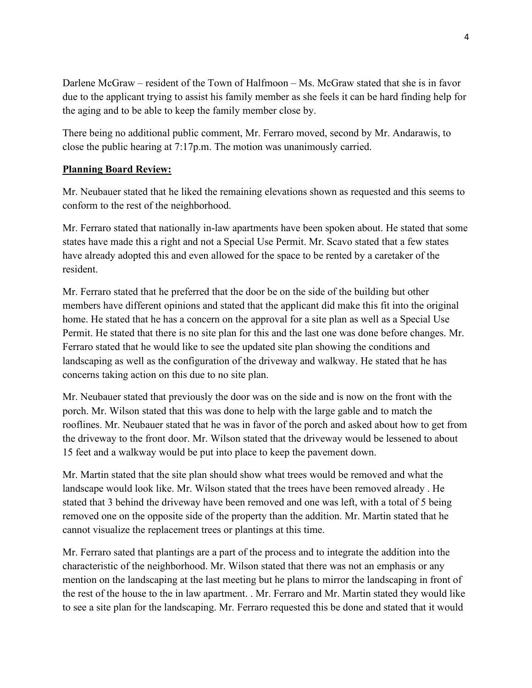Darlene McGraw – resident of the Town of Halfmoon – Ms. McGraw stated that she is in favor due to the applicant trying to assist his family member as she feels it can be hard finding help for the aging and to be able to keep the family member close by.

There being no additional public comment, Mr. Ferraro moved, second by Mr. Andarawis, to close the public hearing at 7:17p.m. The motion was unanimously carried.

### **Planning Board Review:**

Mr. Neubauer stated that he liked the remaining elevations shown as requested and this seems to conform to the rest of the neighborhood.

Mr. Ferraro stated that nationally in-law apartments have been spoken about. He stated that some states have made this a right and not a Special Use Permit. Mr. Scavo stated that a few states have already adopted this and even allowed for the space to be rented by a caretaker of the resident.

Mr. Ferraro stated that he preferred that the door be on the side of the building but other members have different opinions and stated that the applicant did make this fit into the original home. He stated that he has a concern on the approval for a site plan as well as a Special Use Permit. He stated that there is no site plan for this and the last one was done before changes. Mr. Ferraro stated that he would like to see the updated site plan showing the conditions and landscaping as well as the configuration of the driveway and walkway. He stated that he has concerns taking action on this due to no site plan.

Mr. Neubauer stated that previously the door was on the side and is now on the front with the porch. Mr. Wilson stated that this was done to help with the large gable and to match the rooflines. Mr. Neubauer stated that he was in favor of the porch and asked about how to get from the driveway to the front door. Mr. Wilson stated that the driveway would be lessened to about 15 feet and a walkway would be put into place to keep the pavement down.

Mr. Martin stated that the site plan should show what trees would be removed and what the landscape would look like. Mr. Wilson stated that the trees have been removed already . He stated that 3 behind the driveway have been removed and one was left, with a total of 5 being removed one on the opposite side of the property than the addition. Mr. Martin stated that he cannot visualize the replacement trees or plantings at this time.

Mr. Ferraro sated that plantings are a part of the process and to integrate the addition into the characteristic of the neighborhood. Mr. Wilson stated that there was not an emphasis or any mention on the landscaping at the last meeting but he plans to mirror the landscaping in front of the rest of the house to the in law apartment. . Mr. Ferraro and Mr. Martin stated they would like to see a site plan for the landscaping. Mr. Ferraro requested this be done and stated that it would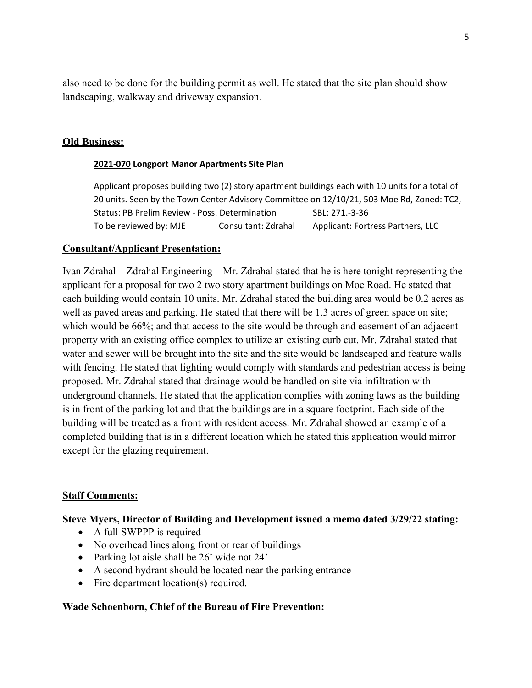also need to be done for the building permit as well. He stated that the site plan should show landscaping, walkway and driveway expansion.

#### **Old Business:**

#### **2021-070 Longport Manor Apartments Site Plan**

Applicant proposes building two (2) story apartment buildings each with 10 units for a total of 20 units. Seen by the Town Center Advisory Committee on 12/10/21, 503 Moe Rd, Zoned: TC2, Status: PB Prelim Review - Poss. Determination SBL: 271.-3-36 To be reviewed by: MJE Consultant: Zdrahal Applicant: Fortress Partners, LLC

#### **Consultant/Applicant Presentation:**

Ivan Zdrahal – Zdrahal Engineering – Mr. Zdrahal stated that he is here tonight representing the applicant for a proposal for two 2 two story apartment buildings on Moe Road. He stated that each building would contain 10 units. Mr. Zdrahal stated the building area would be 0.2 acres as well as paved areas and parking. He stated that there will be 1.3 acres of green space on site; which would be 66%; and that access to the site would be through and easement of an adjacent property with an existing office complex to utilize an existing curb cut. Mr. Zdrahal stated that water and sewer will be brought into the site and the site would be landscaped and feature walls with fencing. He stated that lighting would comply with standards and pedestrian access is being proposed. Mr. Zdrahal stated that drainage would be handled on site via infiltration with underground channels. He stated that the application complies with zoning laws as the building is in front of the parking lot and that the buildings are in a square footprint. Each side of the building will be treated as a front with resident access. Mr. Zdrahal showed an example of a completed building that is in a different location which he stated this application would mirror except for the glazing requirement.

#### **Staff Comments:**

#### **Steve Myers, Director of Building and Development issued a memo dated 3/29/22 stating:**

- A full SWPPP is required
- No overhead lines along front or rear of buildings
- Parking lot aisle shall be 26' wide not 24'
- A second hydrant should be located near the parking entrance
- Fire department location(s) required.

#### **Wade Schoenborn, Chief of the Bureau of Fire Prevention:**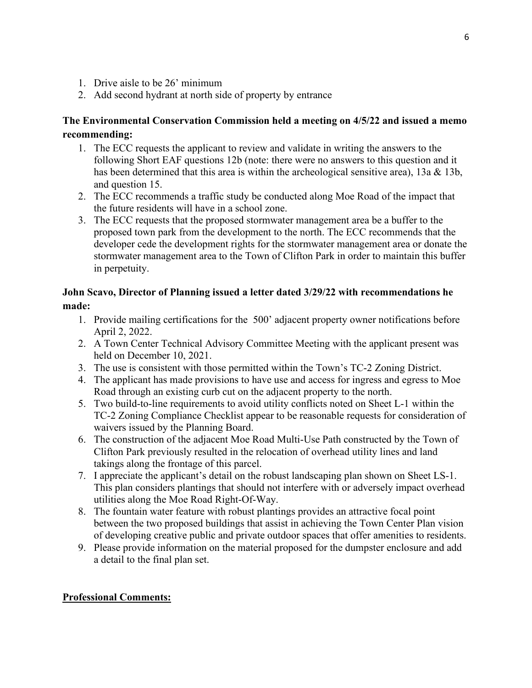- 1. Drive aisle to be 26' minimum
- 2. Add second hydrant at north side of property by entrance

# **The Environmental Conservation Commission held a meeting on 4/5/22 and issued a memo recommending:**

- 1. The ECC requests the applicant to review and validate in writing the answers to the following Short EAF questions 12b (note: there were no answers to this question and it has been determined that this area is within the archeological sensitive area), 13a & 13b, and question 15.
- 2. The ECC recommends a traffic study be conducted along Moe Road of the impact that the future residents will have in a school zone.
- 3. The ECC requests that the proposed stormwater management area be a buffer to the proposed town park from the development to the north. The ECC recommends that the developer cede the development rights for the stormwater management area or donate the stormwater management area to the Town of Clifton Park in order to maintain this buffer in perpetuity.

# **John Scavo, Director of Planning issued a letter dated 3/29/22 with recommendations he made:**

- 1. Provide mailing certifications for the 500' adjacent property owner notifications before April 2, 2022.
- 2. A Town Center Technical Advisory Committee Meeting with the applicant present was held on December 10, 2021.
- 3. The use is consistent with those permitted within the Town's TC-2 Zoning District.
- 4. The applicant has made provisions to have use and access for ingress and egress to Moe Road through an existing curb cut on the adjacent property to the north.
- 5. Two build-to-line requirements to avoid utility conflicts noted on Sheet L-1 within the TC-2 Zoning Compliance Checklist appear to be reasonable requests for consideration of waivers issued by the Planning Board.
- 6. The construction of the adjacent Moe Road Multi-Use Path constructed by the Town of Clifton Park previously resulted in the relocation of overhead utility lines and land takings along the frontage of this parcel.
- 7. I appreciate the applicant's detail on the robust landscaping plan shown on Sheet LS-1. This plan considers plantings that should not interfere with or adversely impact overhead utilities along the Moe Road Right-Of-Way.
- 8. The fountain water feature with robust plantings provides an attractive focal point between the two proposed buildings that assist in achieving the Town Center Plan vision of developing creative public and private outdoor spaces that offer amenities to residents.
- 9. Please provide information on the material proposed for the dumpster enclosure and add a detail to the final plan set.

# **Professional Comments:**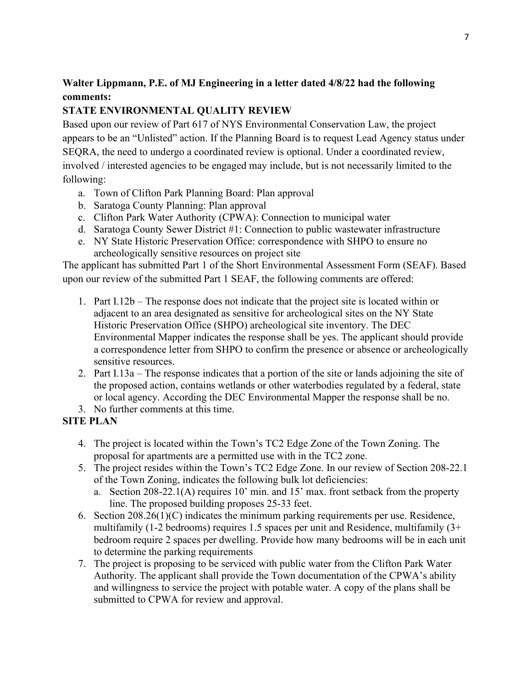# **Walter Lippmann, P.E. of MJ Engineering in a letter dated 4/8/22 had the following comments:**

# **STATE ENVIRONMENTAL QUALITY REVIEW**

Based upon our review of Part 617 of NYS Environmental Conservation Law, the project appears to be an "Unlisted" action. If the Planning Board is to request Lead Agency status under SEQRA, the need to undergo a coordinated review is optional. Under a coordinated review, involved / interested agencies to be engaged may include, but is not necessarily limited to the following:

- a. Town of Clifton Park Planning Board: Plan approval
- b. Saratoga County Planning: Plan approval
- c. Clifton Park Water Authority (CPWA): Connection to municipal water
- d. Saratoga County Sewer District #1: Connection to public wastewater infrastructure
- e. NY State Historic Preservation Office: correspondence with SHPO to ensure no archeologically sensitive resources on project site

The applicant has submitted Part 1 of the Short Environmental Assessment Form (SEAF). Based upon our review of the submitted Part 1 SEAF, the following comments are offered:

- 1. Part I.12b The response does not indicate that the project site is located within or adjacent to an area designated as sensitive for archeological sites on the NY State Historic Preservation Office (SHPO) archeological site inventory. The DEC Environmental Mapper indicates the response shall be yes. The applicant should provide a correspondence letter from SHPO to confirm the presence or absence or archeologically sensitive resources.
- 2. Part I.13a The response indicates that a portion of the site or lands adjoining the site of the proposed action, contains wetlands or other waterbodies regulated by a federal, state or local agency. According the DEC Environmental Mapper the response shall be no.
- 3. No further comments at this time.

# **SITE PLAN**

- 4. The project is located within the Town's TC2 Edge Zone of the Town Zoning. The proposal for apartments are a permitted use with in the TC2 zone.
- 5. The project resides within the Town's TC2 Edge Zone. In our review of Section 208-22.1 of the Town Zoning, indicates the following bulk lot deficiencies:
	- a. Section 208-22.1(A) requires 10' min. and 15' max. front setback from the property line. The proposed building proposes 25-33 feet.
- 6. Section 208.26(1)(C) indicates the minimum parking requirements per use. Residence, multifamily (1-2 bedrooms) requires 1.5 spaces per unit and Residence, multifamily (3+ bedroom require 2 spaces per dwelling. Provide how many bedrooms will be in each unit to determine the parking requirements
- 7. The project is proposing to be serviced with public water from the Clifton Park Water Authority. The applicant shall provide the Town documentation of the CPWA's ability and willingness to service the project with potable water. A copy of the plans shall be submitted to CPWA for review and approval.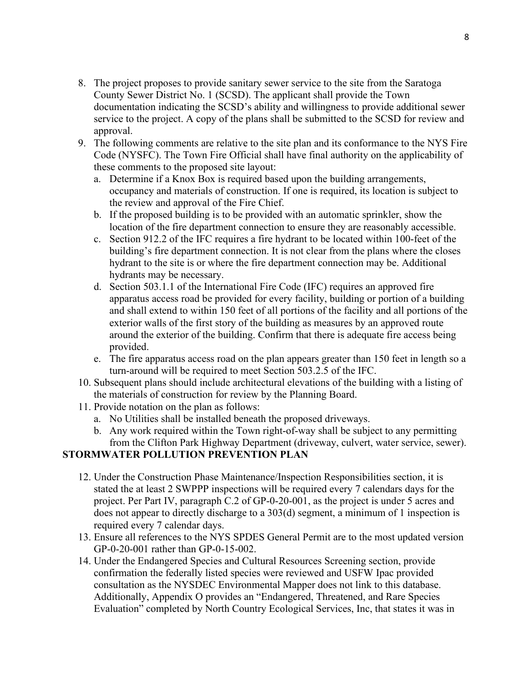- 8. The project proposes to provide sanitary sewer service to the site from the Saratoga County Sewer District No. 1 (SCSD). The applicant shall provide the Town documentation indicating the SCSD's ability and willingness to provide additional sewer service to the project. A copy of the plans shall be submitted to the SCSD for review and approval.
- 9. The following comments are relative to the site plan and its conformance to the NYS Fire Code (NYSFC). The Town Fire Official shall have final authority on the applicability of these comments to the proposed site layout:
	- a. Determine if a Knox Box is required based upon the building arrangements, occupancy and materials of construction. If one is required, its location is subject to the review and approval of the Fire Chief.
	- b. If the proposed building is to be provided with an automatic sprinkler, show the location of the fire department connection to ensure they are reasonably accessible.
	- c. Section 912.2 of the IFC requires a fire hydrant to be located within 100-feet of the building's fire department connection. It is not clear from the plans where the closes hydrant to the site is or where the fire department connection may be. Additional hydrants may be necessary.
	- d. Section 503.1.1 of the International Fire Code (IFC) requires an approved fire apparatus access road be provided for every facility, building or portion of a building and shall extend to within 150 feet of all portions of the facility and all portions of the exterior walls of the first story of the building as measures by an approved route around the exterior of the building. Confirm that there is adequate fire access being provided.
	- e. The fire apparatus access road on the plan appears greater than 150 feet in length so a turn-around will be required to meet Section 503.2.5 of the IFC.
- 10. Subsequent plans should include architectural elevations of the building with a listing of the materials of construction for review by the Planning Board.
- 11. Provide notation on the plan as follows:
	- a. No Utilities shall be installed beneath the proposed driveways.
	- b. Any work required within the Town right-of-way shall be subject to any permitting from the Clifton Park Highway Department (driveway, culvert, water service, sewer).

## **STORMWATER POLLUTION PREVENTION PLAN**

- 12. Under the Construction Phase Maintenance/Inspection Responsibilities section, it is stated the at least 2 SWPPP inspections will be required every 7 calendars days for the project. Per Part IV, paragraph C.2 of GP-0-20-001, as the project is under 5 acres and does not appear to directly discharge to a 303(d) segment, a minimum of 1 inspection is required every 7 calendar days.
- 13. Ensure all references to the NYS SPDES General Permit are to the most updated version GP-0-20-001 rather than GP-0-15-002.
- 14. Under the Endangered Species and Cultural Resources Screening section, provide confirmation the federally listed species were reviewed and USFW Ipac provided consultation as the NYSDEC Environmental Mapper does not link to this database. Additionally, Appendix O provides an "Endangered, Threatened, and Rare Species Evaluation" completed by North Country Ecological Services, Inc, that states it was in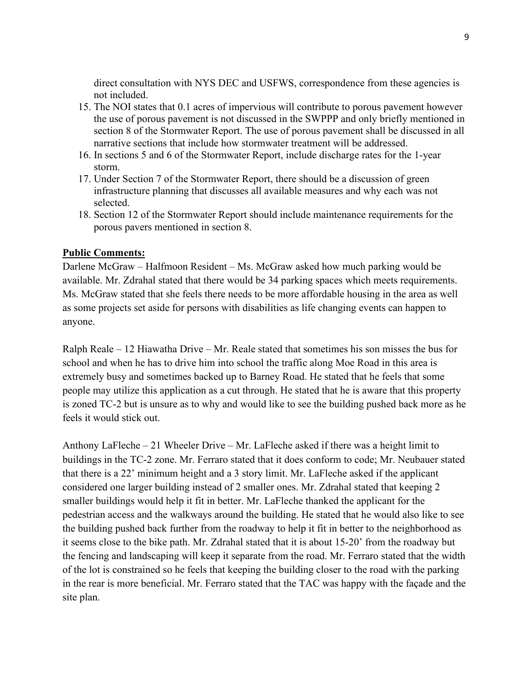direct consultation with NYS DEC and USFWS, correspondence from these agencies is not included.

- 15. The NOI states that 0.1 acres of impervious will contribute to porous pavement however the use of porous pavement is not discussed in the SWPPP and only briefly mentioned in section 8 of the Stormwater Report. The use of porous pavement shall be discussed in all narrative sections that include how stormwater treatment will be addressed.
- 16. In sections 5 and 6 of the Stormwater Report, include discharge rates for the 1-year storm.
- 17. Under Section 7 of the Stormwater Report, there should be a discussion of green infrastructure planning that discusses all available measures and why each was not selected.
- 18. Section 12 of the Stormwater Report should include maintenance requirements for the porous pavers mentioned in section 8.

#### **Public Comments:**

Darlene McGraw – Halfmoon Resident – Ms. McGraw asked how much parking would be available. Mr. Zdrahal stated that there would be 34 parking spaces which meets requirements. Ms. McGraw stated that she feels there needs to be more affordable housing in the area as well as some projects set aside for persons with disabilities as life changing events can happen to anyone.

Ralph Reale – 12 Hiawatha Drive – Mr. Reale stated that sometimes his son misses the bus for school and when he has to drive him into school the traffic along Moe Road in this area is extremely busy and sometimes backed up to Barney Road. He stated that he feels that some people may utilize this application as a cut through. He stated that he is aware that this property is zoned TC-2 but is unsure as to why and would like to see the building pushed back more as he feels it would stick out.

Anthony LaFleche – 21 Wheeler Drive – Mr. LaFleche asked if there was a height limit to buildings in the TC-2 zone. Mr. Ferraro stated that it does conform to code; Mr. Neubauer stated that there is a 22' minimum height and a 3 story limit. Mr. LaFleche asked if the applicant considered one larger building instead of 2 smaller ones. Mr. Zdrahal stated that keeping 2 smaller buildings would help it fit in better. Mr. LaFleche thanked the applicant for the pedestrian access and the walkways around the building. He stated that he would also like to see the building pushed back further from the roadway to help it fit in better to the neighborhood as it seems close to the bike path. Mr. Zdrahal stated that it is about 15-20' from the roadway but the fencing and landscaping will keep it separate from the road. Mr. Ferraro stated that the width of the lot is constrained so he feels that keeping the building closer to the road with the parking in the rear is more beneficial. Mr. Ferraro stated that the TAC was happy with the façade and the site plan.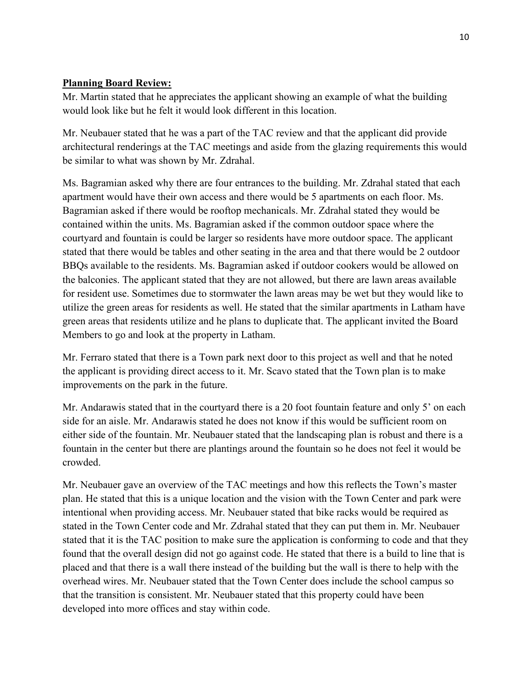## **Planning Board Review:**

Mr. Martin stated that he appreciates the applicant showing an example of what the building would look like but he felt it would look different in this location.

Mr. Neubauer stated that he was a part of the TAC review and that the applicant did provide architectural renderings at the TAC meetings and aside from the glazing requirements this would be similar to what was shown by Mr. Zdrahal.

Ms. Bagramian asked why there are four entrances to the building. Mr. Zdrahal stated that each apartment would have their own access and there would be 5 apartments on each floor. Ms. Bagramian asked if there would be rooftop mechanicals. Mr. Zdrahal stated they would be contained within the units. Ms. Bagramian asked if the common outdoor space where the courtyard and fountain is could be larger so residents have more outdoor space. The applicant stated that there would be tables and other seating in the area and that there would be 2 outdoor BBQs available to the residents. Ms. Bagramian asked if outdoor cookers would be allowed on the balconies. The applicant stated that they are not allowed, but there are lawn areas available for resident use. Sometimes due to stormwater the lawn areas may be wet but they would like to utilize the green areas for residents as well. He stated that the similar apartments in Latham have green areas that residents utilize and he plans to duplicate that. The applicant invited the Board Members to go and look at the property in Latham.

Mr. Ferraro stated that there is a Town park next door to this project as well and that he noted the applicant is providing direct access to it. Mr. Scavo stated that the Town plan is to make improvements on the park in the future.

Mr. Andarawis stated that in the courtyard there is a 20 foot fountain feature and only 5' on each side for an aisle. Mr. Andarawis stated he does not know if this would be sufficient room on either side of the fountain. Mr. Neubauer stated that the landscaping plan is robust and there is a fountain in the center but there are plantings around the fountain so he does not feel it would be crowded.

Mr. Neubauer gave an overview of the TAC meetings and how this reflects the Town's master plan. He stated that this is a unique location and the vision with the Town Center and park were intentional when providing access. Mr. Neubauer stated that bike racks would be required as stated in the Town Center code and Mr. Zdrahal stated that they can put them in. Mr. Neubauer stated that it is the TAC position to make sure the application is conforming to code and that they found that the overall design did not go against code. He stated that there is a build to line that is placed and that there is a wall there instead of the building but the wall is there to help with the overhead wires. Mr. Neubauer stated that the Town Center does include the school campus so that the transition is consistent. Mr. Neubauer stated that this property could have been developed into more offices and stay within code.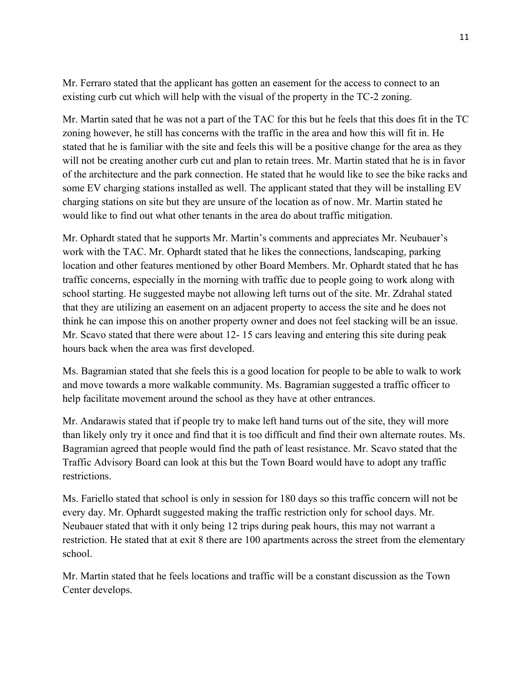Mr. Ferraro stated that the applicant has gotten an easement for the access to connect to an existing curb cut which will help with the visual of the property in the TC-2 zoning.

Mr. Martin sated that he was not a part of the TAC for this but he feels that this does fit in the TC zoning however, he still has concerns with the traffic in the area and how this will fit in. He stated that he is familiar with the site and feels this will be a positive change for the area as they will not be creating another curb cut and plan to retain trees. Mr. Martin stated that he is in favor of the architecture and the park connection. He stated that he would like to see the bike racks and some EV charging stations installed as well. The applicant stated that they will be installing EV charging stations on site but they are unsure of the location as of now. Mr. Martin stated he would like to find out what other tenants in the area do about traffic mitigation.

Mr. Ophardt stated that he supports Mr. Martin's comments and appreciates Mr. Neubauer's work with the TAC. Mr. Ophardt stated that he likes the connections, landscaping, parking location and other features mentioned by other Board Members. Mr. Ophardt stated that he has traffic concerns, especially in the morning with traffic due to people going to work along with school starting. He suggested maybe not allowing left turns out of the site. Mr. Zdrahal stated that they are utilizing an easement on an adjacent property to access the site and he does not think he can impose this on another property owner and does not feel stacking will be an issue. Mr. Scavo stated that there were about 12- 15 cars leaving and entering this site during peak hours back when the area was first developed.

Ms. Bagramian stated that she feels this is a good location for people to be able to walk to work and move towards a more walkable community. Ms. Bagramian suggested a traffic officer to help facilitate movement around the school as they have at other entrances.

Mr. Andarawis stated that if people try to make left hand turns out of the site, they will more than likely only try it once and find that it is too difficult and find their own alternate routes. Ms. Bagramian agreed that people would find the path of least resistance. Mr. Scavo stated that the Traffic Advisory Board can look at this but the Town Board would have to adopt any traffic restrictions.

Ms. Fariello stated that school is only in session for 180 days so this traffic concern will not be every day. Mr. Ophardt suggested making the traffic restriction only for school days. Mr. Neubauer stated that with it only being 12 trips during peak hours, this may not warrant a restriction. He stated that at exit 8 there are 100 apartments across the street from the elementary school.

Mr. Martin stated that he feels locations and traffic will be a constant discussion as the Town Center develops.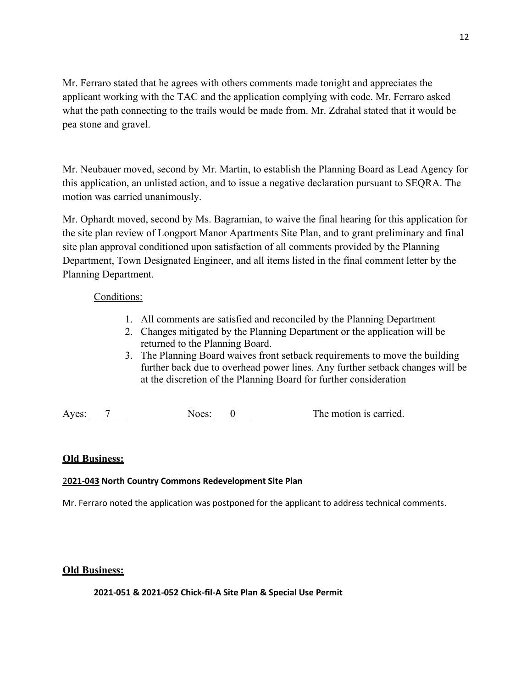Mr. Ferraro stated that he agrees with others comments made tonight and appreciates the applicant working with the TAC and the application complying with code. Mr. Ferraro asked what the path connecting to the trails would be made from. Mr. Zdrahal stated that it would be pea stone and gravel.

Mr. Neubauer moved, second by Mr. Martin, to establish the Planning Board as Lead Agency for this application, an unlisted action, and to issue a negative declaration pursuant to SEQRA. The motion was carried unanimously.

Mr. Ophardt moved, second by Ms. Bagramian, to waive the final hearing for this application for the site plan review of Longport Manor Apartments Site Plan, and to grant preliminary and final site plan approval conditioned upon satisfaction of all comments provided by the Planning Department, Town Designated Engineer, and all items listed in the final comment letter by the Planning Department.

### Conditions:

- 1. All comments are satisfied and reconciled by the Planning Department
- 2. Changes mitigated by the Planning Department or the application will be returned to the Planning Board.
- 3. The Planning Board waives front setback requirements to move the building further back due to overhead power lines. Any further setback changes will be at the discretion of the Planning Board for further consideration

Ayes: 7 Noes: 0 The motion is carried.

### **Old Business:**

### 2**021-043 North Country Commons Redevelopment Site Plan**

Mr. Ferraro noted the application was postponed for the applicant to address technical comments.

### **Old Business:**

**2021-051 & 2021-052 Chick-fil-A Site Plan & Special Use Permit**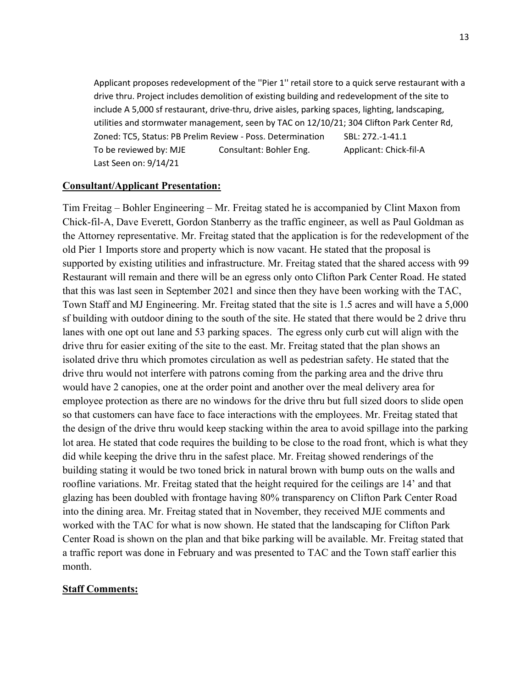Applicant proposes redevelopment of the ''Pier 1'' retail store to a quick serve restaurant with a drive thru. Project includes demolition of existing building and redevelopment of the site to include A 5,000 sf restaurant, drive-thru, drive aisles, parking spaces, lighting, landscaping, utilities and stormwater management, seen by TAC on 12/10/21; 304 Clifton Park Center Rd, Zoned: TC5, Status: PB Prelim Review - Poss. Determination SBL: 272.-1-41.1 To be reviewed by: MJE Consultant: Bohler Eng. Applicant: Chick-fil-A Last Seen on: 9/14/21

#### **Consultant/Applicant Presentation:**

Tim Freitag – Bohler Engineering – Mr. Freitag stated he is accompanied by Clint Maxon from Chick-fil-A, Dave Everett, Gordon Stanberry as the traffic engineer, as well as Paul Goldman as the Attorney representative. Mr. Freitag stated that the application is for the redevelopment of the old Pier 1 Imports store and property which is now vacant. He stated that the proposal is supported by existing utilities and infrastructure. Mr. Freitag stated that the shared access with 99 Restaurant will remain and there will be an egress only onto Clifton Park Center Road. He stated that this was last seen in September 2021 and since then they have been working with the TAC, Town Staff and MJ Engineering. Mr. Freitag stated that the site is 1.5 acres and will have a 5,000 sf building with outdoor dining to the south of the site. He stated that there would be 2 drive thru lanes with one opt out lane and 53 parking spaces. The egress only curb cut will align with the drive thru for easier exiting of the site to the east. Mr. Freitag stated that the plan shows an isolated drive thru which promotes circulation as well as pedestrian safety. He stated that the drive thru would not interfere with patrons coming from the parking area and the drive thru would have 2 canopies, one at the order point and another over the meal delivery area for employee protection as there are no windows for the drive thru but full sized doors to slide open so that customers can have face to face interactions with the employees. Mr. Freitag stated that the design of the drive thru would keep stacking within the area to avoid spillage into the parking lot area. He stated that code requires the building to be close to the road front, which is what they did while keeping the drive thru in the safest place. Mr. Freitag showed renderings of the building stating it would be two toned brick in natural brown with bump outs on the walls and roofline variations. Mr. Freitag stated that the height required for the ceilings are 14' and that glazing has been doubled with frontage having 80% transparency on Clifton Park Center Road into the dining area. Mr. Freitag stated that in November, they received MJE comments and worked with the TAC for what is now shown. He stated that the landscaping for Clifton Park Center Road is shown on the plan and that bike parking will be available. Mr. Freitag stated that a traffic report was done in February and was presented to TAC and the Town staff earlier this month.

#### **Staff Comments:**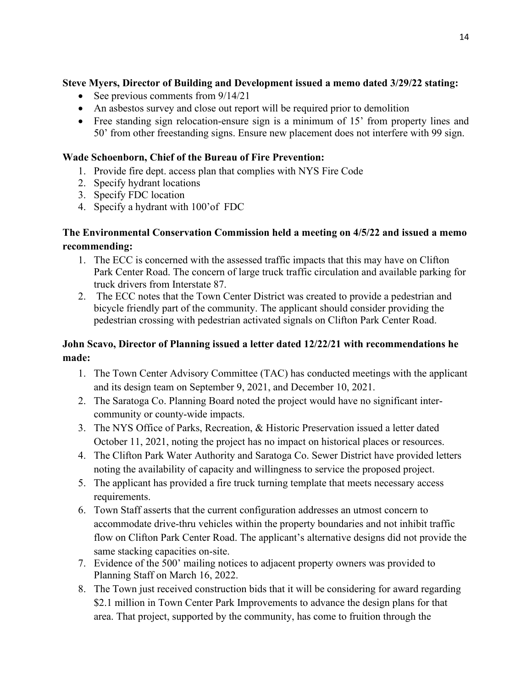# **Steve Myers, Director of Building and Development issued a memo dated 3/29/22 stating:**

- See previous comments from  $9/14/21$
- An asbestos survey and close out report will be required prior to demolition
- Free standing sign relocation-ensure sign is a minimum of 15' from property lines and 50' from other freestanding signs. Ensure new placement does not interfere with 99 sign.

## **Wade Schoenborn, Chief of the Bureau of Fire Prevention:**

- 1. Provide fire dept. access plan that complies with NYS Fire Code
- 2. Specify hydrant locations
- 3. Specify FDC location
- 4. Specify a hydrant with 100'of FDC

## **The Environmental Conservation Commission held a meeting on 4/5/22 and issued a memo recommending:**

- 1. The ECC is concerned with the assessed traffic impacts that this may have on Clifton Park Center Road. The concern of large truck traffic circulation and available parking for truck drivers from Interstate 87.
- 2. The ECC notes that the Town Center District was created to provide a pedestrian and bicycle friendly part of the community. The applicant should consider providing the pedestrian crossing with pedestrian activated signals on Clifton Park Center Road.

# **John Scavo, Director of Planning issued a letter dated 12/22/21 with recommendations he made:**

- 1. The Town Center Advisory Committee (TAC) has conducted meetings with the applicant and its design team on September 9, 2021, and December 10, 2021.
- 2. The Saratoga Co. Planning Board noted the project would have no significant intercommunity or county-wide impacts.
- 3. The NYS Office of Parks, Recreation, & Historic Preservation issued a letter dated October 11, 2021, noting the project has no impact on historical places or resources.
- 4. The Clifton Park Water Authority and Saratoga Co. Sewer District have provided letters noting the availability of capacity and willingness to service the proposed project.
- 5. The applicant has provided a fire truck turning template that meets necessary access requirements.
- 6. Town Staff asserts that the current configuration addresses an utmost concern to accommodate drive-thru vehicles within the property boundaries and not inhibit traffic flow on Clifton Park Center Road. The applicant's alternative designs did not provide the same stacking capacities on-site.
- 7. Evidence of the 500' mailing notices to adjacent property owners was provided to Planning Staff on March 16, 2022.
- 8. The Town just received construction bids that it will be considering for award regarding \$2.1 million in Town Center Park Improvements to advance the design plans for that area. That project, supported by the community, has come to fruition through the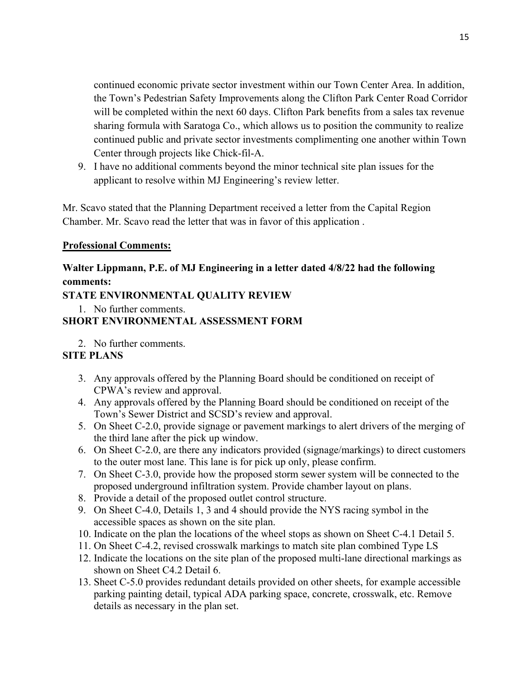continued economic private sector investment within our Town Center Area. In addition, the Town's Pedestrian Safety Improvements along the Clifton Park Center Road Corridor will be completed within the next 60 days. Clifton Park benefits from a sales tax revenue sharing formula with Saratoga Co., which allows us to position the community to realize continued public and private sector investments complimenting one another within Town Center through projects like Chick-fil-A.

9. I have no additional comments beyond the minor technical site plan issues for the applicant to resolve within MJ Engineering's review letter.

Mr. Scavo stated that the Planning Department received a letter from the Capital Region Chamber. Mr. Scavo read the letter that was in favor of this application .

### **Professional Comments:**

# **Walter Lippmann, P.E. of MJ Engineering in a letter dated 4/8/22 had the following comments:**

### **STATE ENVIRONMENTAL QUALITY REVIEW**

1. No further comments.

# **SHORT ENVIRONMENTAL ASSESSMENT FORM**

2. No further comments.

### **SITE PLANS**

- 3. Any approvals offered by the Planning Board should be conditioned on receipt of CPWA's review and approval.
- 4. Any approvals offered by the Planning Board should be conditioned on receipt of the Town's Sewer District and SCSD's review and approval.
- 5. On Sheet C-2.0, provide signage or pavement markings to alert drivers of the merging of the third lane after the pick up window.
- 6. On Sheet C-2.0, are there any indicators provided (signage/markings) to direct customers to the outer most lane. This lane is for pick up only, please confirm.
- 7. On Sheet C-3.0, provide how the proposed storm sewer system will be connected to the proposed underground infiltration system. Provide chamber layout on plans.
- 8. Provide a detail of the proposed outlet control structure.
- 9. On Sheet C-4.0, Details 1, 3 and 4 should provide the NYS racing symbol in the accessible spaces as shown on the site plan.
- 10. Indicate on the plan the locations of the wheel stops as shown on Sheet C-4.1 Detail 5.
- 11. On Sheet C-4.2, revised crosswalk markings to match site plan combined Type LS
- 12. Indicate the locations on the site plan of the proposed multi-lane directional markings as shown on Sheet C4.2 Detail 6.
- 13. Sheet C-5.0 provides redundant details provided on other sheets, for example accessible parking painting detail, typical ADA parking space, concrete, crosswalk, etc. Remove details as necessary in the plan set.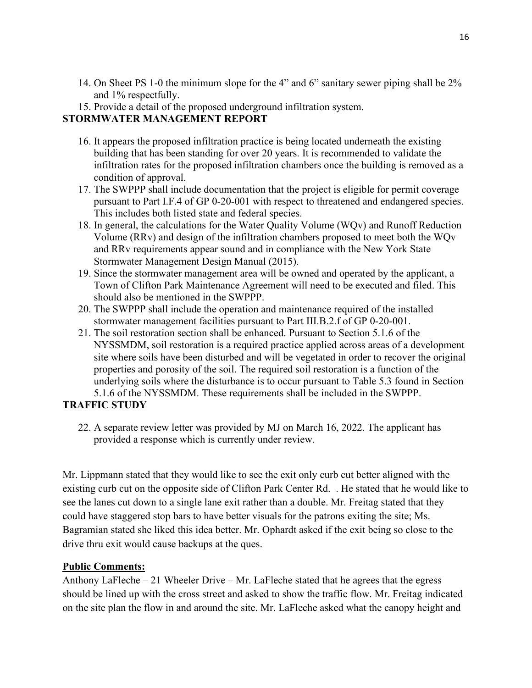- 14. On Sheet PS 1-0 the minimum slope for the 4" and 6" sanitary sewer piping shall be 2% and 1% respectfully.
- 15. Provide a detail of the proposed underground infiltration system.

## **STORMWATER MANAGEMENT REPORT**

- 16. It appears the proposed infiltration practice is being located underneath the existing building that has been standing for over 20 years. It is recommended to validate the infiltration rates for the proposed infiltration chambers once the building is removed as a condition of approval.
- 17. The SWPPP shall include documentation that the project is eligible for permit coverage pursuant to Part I.F.4 of GP 0-20-001 with respect to threatened and endangered species. This includes both listed state and federal species.
- 18. In general, the calculations for the Water Quality Volume (WQv) and Runoff Reduction Volume (RRv) and design of the infiltration chambers proposed to meet both the WQv and RRv requirements appear sound and in compliance with the New York State Stormwater Management Design Manual (2015).
- 19. Since the stormwater management area will be owned and operated by the applicant, a Town of Clifton Park Maintenance Agreement will need to be executed and filed. This should also be mentioned in the SWPPP.
- 20. The SWPPP shall include the operation and maintenance required of the installed stormwater management facilities pursuant to Part III.B.2.f of GP 0-20-001.
- 21. The soil restoration section shall be enhanced. Pursuant to Section 5.1.6 of the NYSSMDM, soil restoration is a required practice applied across areas of a development site where soils have been disturbed and will be vegetated in order to recover the original properties and porosity of the soil. The required soil restoration is a function of the underlying soils where the disturbance is to occur pursuant to Table 5.3 found in Section 5.1.6 of the NYSSMDM. These requirements shall be included in the SWPPP.

# **TRAFFIC STUDY**

22. A separate review letter was provided by MJ on March 16, 2022. The applicant has provided a response which is currently under review.

Mr. Lippmann stated that they would like to see the exit only curb cut better aligned with the existing curb cut on the opposite side of Clifton Park Center Rd. . He stated that he would like to see the lanes cut down to a single lane exit rather than a double. Mr. Freitag stated that they could have staggered stop bars to have better visuals for the patrons exiting the site; Ms. Bagramian stated she liked this idea better. Mr. Ophardt asked if the exit being so close to the drive thru exit would cause backups at the ques.

## **Public Comments:**

Anthony LaFleche – 21 Wheeler Drive – Mr. LaFleche stated that he agrees that the egress should be lined up with the cross street and asked to show the traffic flow. Mr. Freitag indicated on the site plan the flow in and around the site. Mr. LaFleche asked what the canopy height and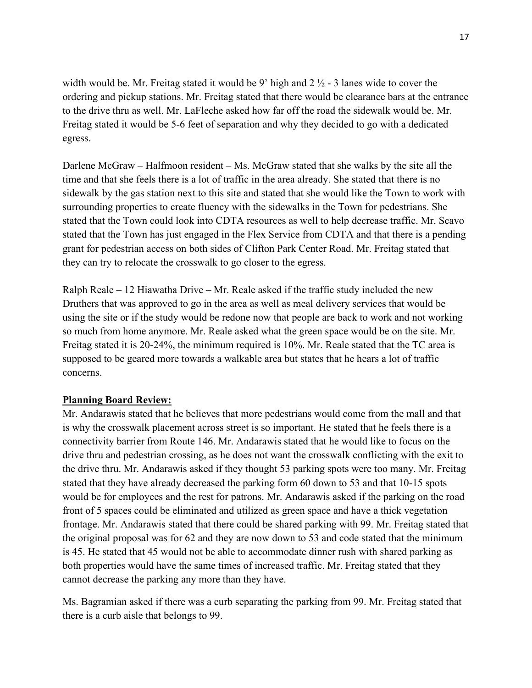width would be. Mr. Freitag stated it would be 9' high and  $2 \frac{1}{2}$  - 3 lanes wide to cover the ordering and pickup stations. Mr. Freitag stated that there would be clearance bars at the entrance to the drive thru as well. Mr. LaFleche asked how far off the road the sidewalk would be. Mr. Freitag stated it would be 5-6 feet of separation and why they decided to go with a dedicated egress.

Darlene McGraw – Halfmoon resident – Ms. McGraw stated that she walks by the site all the time and that she feels there is a lot of traffic in the area already. She stated that there is no sidewalk by the gas station next to this site and stated that she would like the Town to work with surrounding properties to create fluency with the sidewalks in the Town for pedestrians. She stated that the Town could look into CDTA resources as well to help decrease traffic. Mr. Scavo stated that the Town has just engaged in the Flex Service from CDTA and that there is a pending grant for pedestrian access on both sides of Clifton Park Center Road. Mr. Freitag stated that they can try to relocate the crosswalk to go closer to the egress.

Ralph Reale – 12 Hiawatha Drive – Mr. Reale asked if the traffic study included the new Druthers that was approved to go in the area as well as meal delivery services that would be using the site or if the study would be redone now that people are back to work and not working so much from home anymore. Mr. Reale asked what the green space would be on the site. Mr. Freitag stated it is 20-24%, the minimum required is 10%. Mr. Reale stated that the TC area is supposed to be geared more towards a walkable area but states that he hears a lot of traffic concerns.

### **Planning Board Review:**

Mr. Andarawis stated that he believes that more pedestrians would come from the mall and that is why the crosswalk placement across street is so important. He stated that he feels there is a connectivity barrier from Route 146. Mr. Andarawis stated that he would like to focus on the drive thru and pedestrian crossing, as he does not want the crosswalk conflicting with the exit to the drive thru. Mr. Andarawis asked if they thought 53 parking spots were too many. Mr. Freitag stated that they have already decreased the parking form 60 down to 53 and that 10-15 spots would be for employees and the rest for patrons. Mr. Andarawis asked if the parking on the road front of 5 spaces could be eliminated and utilized as green space and have a thick vegetation frontage. Mr. Andarawis stated that there could be shared parking with 99. Mr. Freitag stated that the original proposal was for 62 and they are now down to 53 and code stated that the minimum is 45. He stated that 45 would not be able to accommodate dinner rush with shared parking as both properties would have the same times of increased traffic. Mr. Freitag stated that they cannot decrease the parking any more than they have.

Ms. Bagramian asked if there was a curb separating the parking from 99. Mr. Freitag stated that there is a curb aisle that belongs to 99.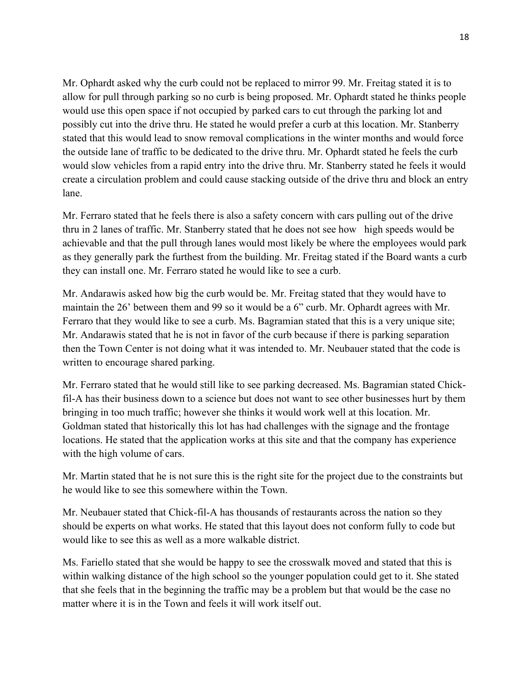Mr. Ophardt asked why the curb could not be replaced to mirror 99. Mr. Freitag stated it is to allow for pull through parking so no curb is being proposed. Mr. Ophardt stated he thinks people would use this open space if not occupied by parked cars to cut through the parking lot and possibly cut into the drive thru. He stated he would prefer a curb at this location. Mr. Stanberry stated that this would lead to snow removal complications in the winter months and would force the outside lane of traffic to be dedicated to the drive thru. Mr. Ophardt stated he feels the curb would slow vehicles from a rapid entry into the drive thru. Mr. Stanberry stated he feels it would create a circulation problem and could cause stacking outside of the drive thru and block an entry lane.

Mr. Ferraro stated that he feels there is also a safety concern with cars pulling out of the drive thru in 2 lanes of traffic. Mr. Stanberry stated that he does not see how high speeds would be achievable and that the pull through lanes would most likely be where the employees would park as they generally park the furthest from the building. Mr. Freitag stated if the Board wants a curb they can install one. Mr. Ferraro stated he would like to see a curb.

Mr. Andarawis asked how big the curb would be. Mr. Freitag stated that they would have to maintain the 26' between them and 99 so it would be a 6" curb. Mr. Ophardt agrees with Mr. Ferraro that they would like to see a curb. Ms. Bagramian stated that this is a very unique site; Mr. Andarawis stated that he is not in favor of the curb because if there is parking separation then the Town Center is not doing what it was intended to. Mr. Neubauer stated that the code is written to encourage shared parking.

Mr. Ferraro stated that he would still like to see parking decreased. Ms. Bagramian stated Chickfil-A has their business down to a science but does not want to see other businesses hurt by them bringing in too much traffic; however she thinks it would work well at this location. Mr. Goldman stated that historically this lot has had challenges with the signage and the frontage locations. He stated that the application works at this site and that the company has experience with the high volume of cars.

Mr. Martin stated that he is not sure this is the right site for the project due to the constraints but he would like to see this somewhere within the Town.

Mr. Neubauer stated that Chick-fil-A has thousands of restaurants across the nation so they should be experts on what works. He stated that this layout does not conform fully to code but would like to see this as well as a more walkable district.

Ms. Fariello stated that she would be happy to see the crosswalk moved and stated that this is within walking distance of the high school so the younger population could get to it. She stated that she feels that in the beginning the traffic may be a problem but that would be the case no matter where it is in the Town and feels it will work itself out.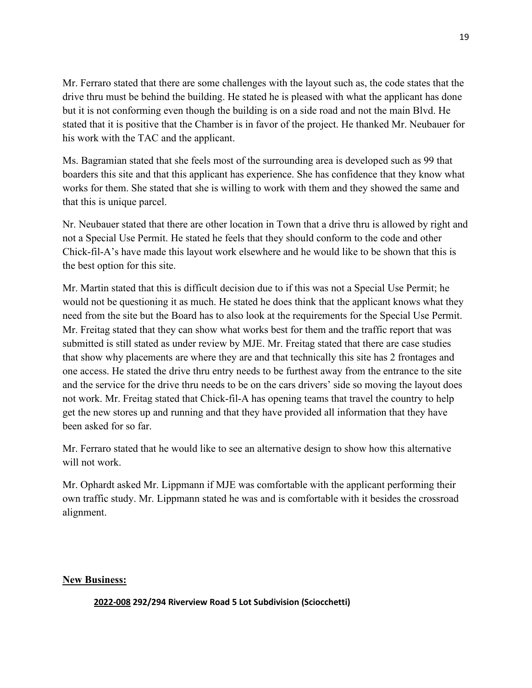Mr. Ferraro stated that there are some challenges with the layout such as, the code states that the drive thru must be behind the building. He stated he is pleased with what the applicant has done but it is not conforming even though the building is on a side road and not the main Blvd. He stated that it is positive that the Chamber is in favor of the project. He thanked Mr. Neubauer for his work with the TAC and the applicant.

Ms. Bagramian stated that she feels most of the surrounding area is developed such as 99 that boarders this site and that this applicant has experience. She has confidence that they know what works for them. She stated that she is willing to work with them and they showed the same and that this is unique parcel.

Nr. Neubauer stated that there are other location in Town that a drive thru is allowed by right and not a Special Use Permit. He stated he feels that they should conform to the code and other Chick-fil-A's have made this layout work elsewhere and he would like to be shown that this is the best option for this site.

Mr. Martin stated that this is difficult decision due to if this was not a Special Use Permit; he would not be questioning it as much. He stated he does think that the applicant knows what they need from the site but the Board has to also look at the requirements for the Special Use Permit. Mr. Freitag stated that they can show what works best for them and the traffic report that was submitted is still stated as under review by MJE. Mr. Freitag stated that there are case studies that show why placements are where they are and that technically this site has 2 frontages and one access. He stated the drive thru entry needs to be furthest away from the entrance to the site and the service for the drive thru needs to be on the cars drivers' side so moving the layout does not work. Mr. Freitag stated that Chick-fil-A has opening teams that travel the country to help get the new stores up and running and that they have provided all information that they have been asked for so far.

Mr. Ferraro stated that he would like to see an alternative design to show how this alternative will not work.

Mr. Ophardt asked Mr. Lippmann if MJE was comfortable with the applicant performing their own traffic study. Mr. Lippmann stated he was and is comfortable with it besides the crossroad alignment.

### **New Business:**

**2022-008 292/294 Riverview Road 5 Lot Subdivision (Sciocchetti)**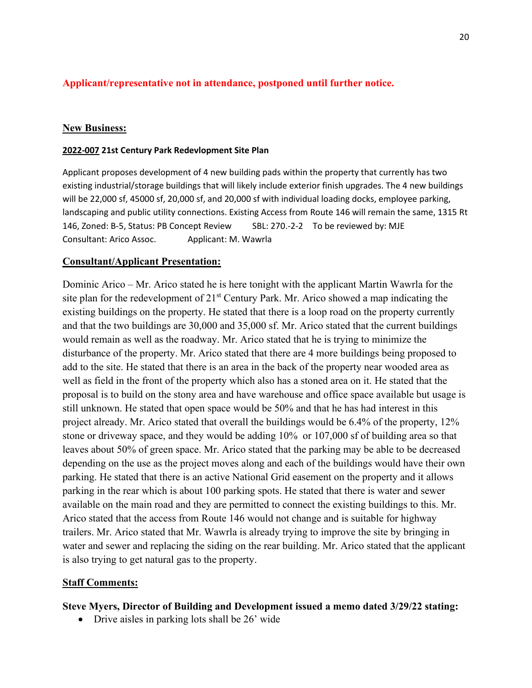## **Applicant/representative not in attendance, postponed until further notice.**

#### **New Business:**

#### **2022-007 21st Century Park Redevlopment Site Plan**

Applicant proposes development of 4 new building pads within the property that currently has two existing industrial/storage buildings that will likely include exterior finish upgrades. The 4 new buildings will be 22,000 sf, 45000 sf, 20,000 sf, and 20,000 sf with individual loading docks, employee parking, landscaping and public utility connections. Existing Access from Route 146 will remain the same, 1315 Rt 146, Zoned: B-5, Status: PB Concept Review SBL: 270.-2-2 To be reviewed by: MJE Consultant: Arico Assoc. Applicant: M. Wawrla

#### **Consultant/Applicant Presentation:**

Dominic Arico – Mr. Arico stated he is here tonight with the applicant Martin Wawrla for the site plan for the redevelopment of  $21<sup>st</sup>$  Century Park. Mr. Arico showed a map indicating the existing buildings on the property. He stated that there is a loop road on the property currently and that the two buildings are 30,000 and 35,000 sf. Mr. Arico stated that the current buildings would remain as well as the roadway. Mr. Arico stated that he is trying to minimize the disturbance of the property. Mr. Arico stated that there are 4 more buildings being proposed to add to the site. He stated that there is an area in the back of the property near wooded area as well as field in the front of the property which also has a stoned area on it. He stated that the proposal is to build on the stony area and have warehouse and office space available but usage is still unknown. He stated that open space would be 50% and that he has had interest in this project already. Mr. Arico stated that overall the buildings would be 6.4% of the property, 12% stone or driveway space, and they would be adding 10% or 107,000 sf of building area so that leaves about 50% of green space. Mr. Arico stated that the parking may be able to be decreased depending on the use as the project moves along and each of the buildings would have their own parking. He stated that there is an active National Grid easement on the property and it allows parking in the rear which is about 100 parking spots. He stated that there is water and sewer available on the main road and they are permitted to connect the existing buildings to this. Mr. Arico stated that the access from Route 146 would not change and is suitable for highway trailers. Mr. Arico stated that Mr. Wawrla is already trying to improve the site by bringing in water and sewer and replacing the siding on the rear building. Mr. Arico stated that the applicant is also trying to get natural gas to the property.

#### **Staff Comments:**

#### **Steve Myers, Director of Building and Development issued a memo dated 3/29/22 stating:**

• Drive aisles in parking lots shall be 26' wide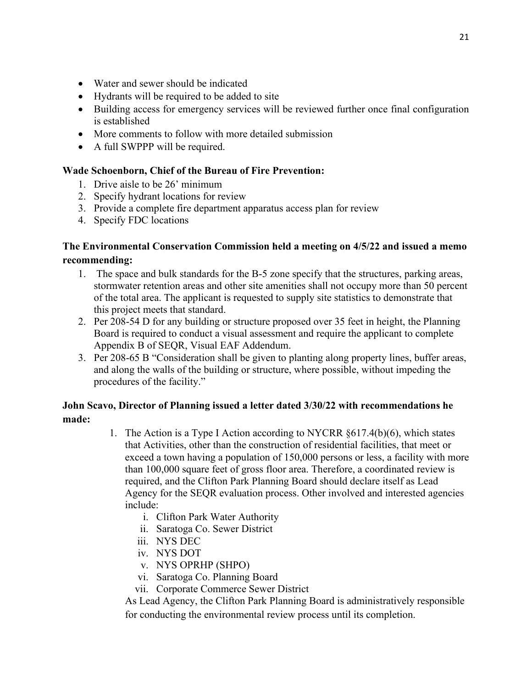- Water and sewer should be indicated
- Hydrants will be required to be added to site
- Building access for emergency services will be reviewed further once final configuration is established
- More comments to follow with more detailed submission
- A full SWPPP will be required.

### **Wade Schoenborn, Chief of the Bureau of Fire Prevention:**

- 1. Drive aisle to be 26' minimum
- 2. Specify hydrant locations for review
- 3. Provide a complete fire department apparatus access plan for review
- 4. Specify FDC locations

## **The Environmental Conservation Commission held a meeting on 4/5/22 and issued a memo recommending:**

- 1. The space and bulk standards for the B-5 zone specify that the structures, parking areas, stormwater retention areas and other site amenities shall not occupy more than 50 percent of the total area. The applicant is requested to supply site statistics to demonstrate that this project meets that standard.
- 2. Per 208-54 D for any building or structure proposed over 35 feet in height, the Planning Board is required to conduct a visual assessment and require the applicant to complete Appendix B of SEQR, Visual EAF Addendum.
- 3. Per 208-65 B "Consideration shall be given to planting along property lines, buffer areas, and along the walls of the building or structure, where possible, without impeding the procedures of the facility."

## **John Scavo, Director of Planning issued a letter dated 3/30/22 with recommendations he made:**

- 1. The Action is a Type I Action according to NYCRR  $\delta$ 617.4(b)(6), which states that Activities, other than the construction of residential facilities, that meet or exceed a town having a population of 150,000 persons or less, a facility with more than 100,000 square feet of gross floor area. Therefore, a coordinated review is required, and the Clifton Park Planning Board should declare itself as Lead Agency for the SEQR evaluation process. Other involved and interested agencies include:
	- i. Clifton Park Water Authority
	- ii. Saratoga Co. Sewer District
	- iii. NYS DEC
	- iv. NYS DOT
	- v. NYS OPRHP (SHPO)
	- vi. Saratoga Co. Planning Board
	- vii. Corporate Commerce Sewer District

As Lead Agency, the Clifton Park Planning Board is administratively responsible for conducting the environmental review process until its completion.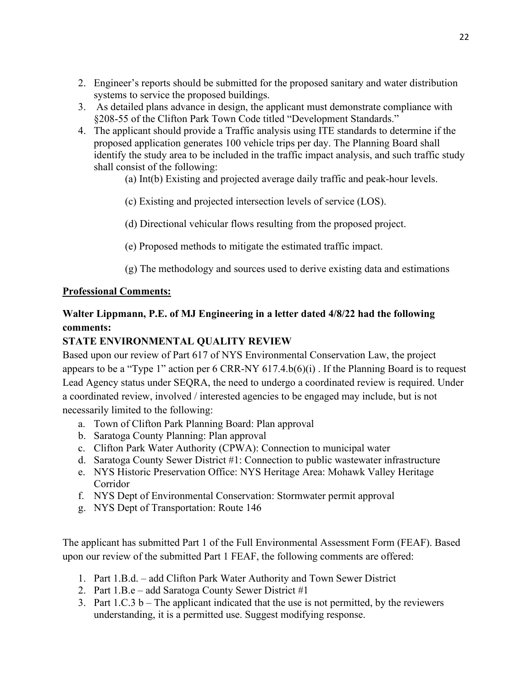- 2. Engineer's reports should be submitted for the proposed sanitary and water distribution systems to service the proposed buildings.
- 3. As detailed plans advance in design, the applicant must demonstrate compliance with §208-55 of the Clifton Park Town Code titled "Development Standards."
- 4. The applicant should provide a Traffic analysis using ITE standards to determine if the proposed application generates 100 vehicle trips per day. The Planning Board shall identify the study area to be included in the traffic impact analysis, and such traffic study shall consist of the following:

(a) Int(b) Existing and projected average daily traffic and peak-hour levels.

(c) Existing and projected intersection levels of service (LOS).

(d) Directional vehicular flows resulting from the proposed project.

(e) Proposed methods to mitigate the estimated traffic impact.

(g) The methodology and sources used to derive existing data and estimations

## **Professional Comments:**

# **Walter Lippmann, P.E. of MJ Engineering in a letter dated 4/8/22 had the following comments:**

# **STATE ENVIRONMENTAL QUALITY REVIEW**

Based upon our review of Part 617 of NYS Environmental Conservation Law, the project appears to be a "Type 1" action per 6 CRR-NY 617.4.b(6)(i) . If the Planning Board is to request Lead Agency status under SEQRA, the need to undergo a coordinated review is required. Under a coordinated review, involved / interested agencies to be engaged may include, but is not necessarily limited to the following:

- a. Town of Clifton Park Planning Board: Plan approval
- b. Saratoga County Planning: Plan approval
- c. Clifton Park Water Authority (CPWA): Connection to municipal water
- d. Saratoga County Sewer District #1: Connection to public wastewater infrastructure
- e. NYS Historic Preservation Office: NYS Heritage Area: Mohawk Valley Heritage Corridor
- f. NYS Dept of Environmental Conservation: Stormwater permit approval
- g. NYS Dept of Transportation: Route 146

The applicant has submitted Part 1 of the Full Environmental Assessment Form (FEAF). Based upon our review of the submitted Part 1 FEAF, the following comments are offered:

- 1. Part 1.B.d. add Clifton Park Water Authority and Town Sewer District
- 2. Part 1.B.e add Saratoga County Sewer District #1
- 3. Part  $1.C.3 b$  The applicant indicated that the use is not permitted, by the reviewers understanding, it is a permitted use. Suggest modifying response.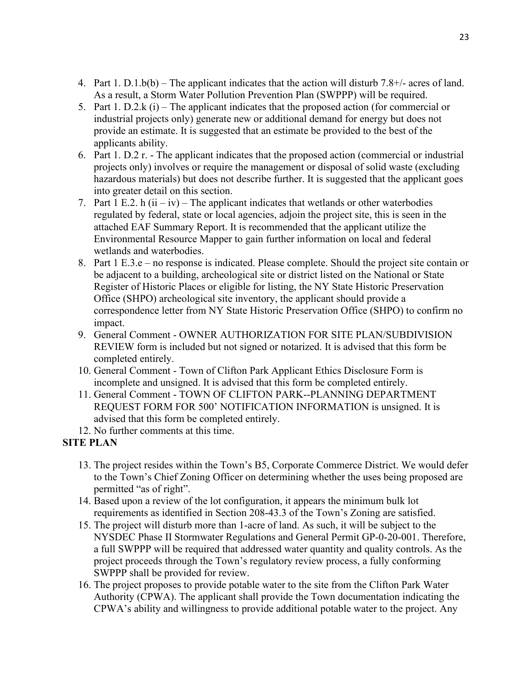- 4. Part 1.  $D.1.b(b)$  The applicant indicates that the action will disturb 7.8+/- acres of land. As a result, a Storm Water Pollution Prevention Plan (SWPPP) will be required.
- 5. Part 1. D.2.k (i) The applicant indicates that the proposed action (for commercial or industrial projects only) generate new or additional demand for energy but does not provide an estimate. It is suggested that an estimate be provided to the best of the applicants ability.
- 6. Part 1. D.2 r. The applicant indicates that the proposed action (commercial or industrial projects only) involves or require the management or disposal of solid waste (excluding hazardous materials) but does not describe further. It is suggested that the applicant goes into greater detail on this section.
- 7. Part 1 E.2. h  $(ii iv)$  The applicant indicates that wetlands or other waterbodies regulated by federal, state or local agencies, adjoin the project site, this is seen in the attached EAF Summary Report. It is recommended that the applicant utilize the Environmental Resource Mapper to gain further information on local and federal wetlands and waterbodies.
- 8. Part 1 E.3.e no response is indicated. Please complete. Should the project site contain or be adjacent to a building, archeological site or district listed on the National or State Register of Historic Places or eligible for listing, the NY State Historic Preservation Office (SHPO) archeological site inventory, the applicant should provide a correspondence letter from NY State Historic Preservation Office (SHPO) to confirm no impact.
- 9. General Comment OWNER AUTHORIZATION FOR SITE PLAN/SUBDIVISION REVIEW form is included but not signed or notarized. It is advised that this form be completed entirely.
- 10. General Comment Town of Clifton Park Applicant Ethics Disclosure Form is incomplete and unsigned. It is advised that this form be completed entirely.
- 11. General Comment TOWN OF CLIFTON PARK--PLANNING DEPARTMENT REQUEST FORM FOR 500' NOTIFICATION INFORMATION is unsigned. It is advised that this form be completed entirely.
- 12. No further comments at this time.

## **SITE PLAN**

- 13. The project resides within the Town's B5, Corporate Commerce District. We would defer to the Town's Chief Zoning Officer on determining whether the uses being proposed are permitted "as of right".
- 14. Based upon a review of the lot configuration, it appears the minimum bulk lot requirements as identified in Section 208-43.3 of the Town's Zoning are satisfied.
- 15. The project will disturb more than 1-acre of land. As such, it will be subject to the NYSDEC Phase II Stormwater Regulations and General Permit GP-0-20-001. Therefore, a full SWPPP will be required that addressed water quantity and quality controls. As the project proceeds through the Town's regulatory review process, a fully conforming SWPPP shall be provided for review.
- 16. The project proposes to provide potable water to the site from the Clifton Park Water Authority (CPWA). The applicant shall provide the Town documentation indicating the CPWA's ability and willingness to provide additional potable water to the project. Any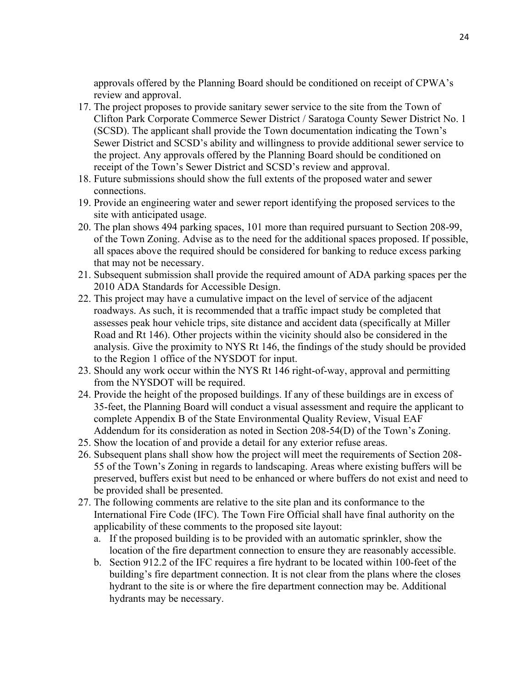approvals offered by the Planning Board should be conditioned on receipt of CPWA's review and approval.

- 17. The project proposes to provide sanitary sewer service to the site from the Town of Clifton Park Corporate Commerce Sewer District / Saratoga County Sewer District No. 1 (SCSD). The applicant shall provide the Town documentation indicating the Town's Sewer District and SCSD's ability and willingness to provide additional sewer service to the project. Any approvals offered by the Planning Board should be conditioned on receipt of the Town's Sewer District and SCSD's review and approval.
- 18. Future submissions should show the full extents of the proposed water and sewer connections.
- 19. Provide an engineering water and sewer report identifying the proposed services to the site with anticipated usage.
- 20. The plan shows 494 parking spaces, 101 more than required pursuant to Section 208-99, of the Town Zoning. Advise as to the need for the additional spaces proposed. If possible, all spaces above the required should be considered for banking to reduce excess parking that may not be necessary.
- 21. Subsequent submission shall provide the required amount of ADA parking spaces per the 2010 ADA Standards for Accessible Design.
- 22. This project may have a cumulative impact on the level of service of the adjacent roadways. As such, it is recommended that a traffic impact study be completed that assesses peak hour vehicle trips, site distance and accident data (specifically at Miller Road and Rt 146). Other projects within the vicinity should also be considered in the analysis. Give the proximity to NYS Rt 146, the findings of the study should be provided to the Region 1 office of the NYSDOT for input.
- 23. Should any work occur within the NYS Rt 146 right-of-way, approval and permitting from the NYSDOT will be required.
- 24. Provide the height of the proposed buildings. If any of these buildings are in excess of 35-feet, the Planning Board will conduct a visual assessment and require the applicant to complete Appendix B of the State Environmental Quality Review, Visual EAF Addendum for its consideration as noted in Section 208-54(D) of the Town's Zoning.
- 25. Show the location of and provide a detail for any exterior refuse areas.
- 26. Subsequent plans shall show how the project will meet the requirements of Section 208- 55 of the Town's Zoning in regards to landscaping. Areas where existing buffers will be preserved, buffers exist but need to be enhanced or where buffers do not exist and need to be provided shall be presented.
- 27. The following comments are relative to the site plan and its conformance to the International Fire Code (IFC). The Town Fire Official shall have final authority on the applicability of these comments to the proposed site layout:
	- a. If the proposed building is to be provided with an automatic sprinkler, show the location of the fire department connection to ensure they are reasonably accessible.
	- b. Section 912.2 of the IFC requires a fire hydrant to be located within 100-feet of the building's fire department connection. It is not clear from the plans where the closes hydrant to the site is or where the fire department connection may be. Additional hydrants may be necessary.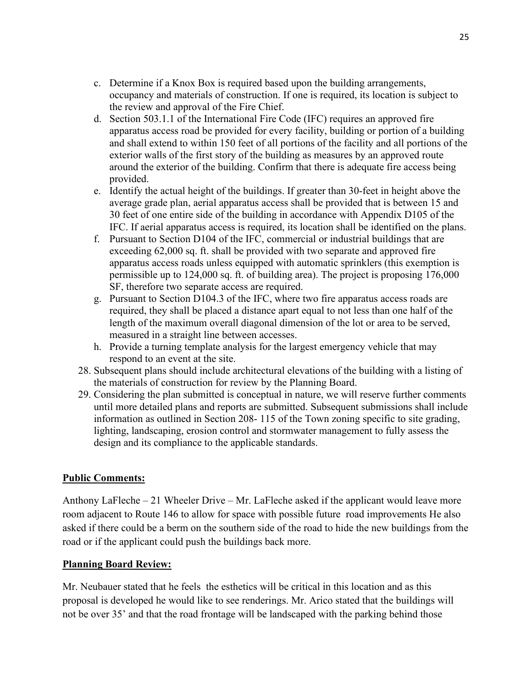- c. Determine if a Knox Box is required based upon the building arrangements, occupancy and materials of construction. If one is required, its location is subject to the review and approval of the Fire Chief.
- d. Section 503.1.1 of the International Fire Code (IFC) requires an approved fire apparatus access road be provided for every facility, building or portion of a building and shall extend to within 150 feet of all portions of the facility and all portions of the exterior walls of the first story of the building as measures by an approved route around the exterior of the building. Confirm that there is adequate fire access being provided.
- e. Identify the actual height of the buildings. If greater than 30-feet in height above the average grade plan, aerial apparatus access shall be provided that is between 15 and 30 feet of one entire side of the building in accordance with Appendix D105 of the IFC. If aerial apparatus access is required, its location shall be identified on the plans.
- f. Pursuant to Section D104 of the IFC, commercial or industrial buildings that are exceeding 62,000 sq. ft. shall be provided with two separate and approved fire apparatus access roads unless equipped with automatic sprinklers (this exemption is permissible up to 124,000 sq. ft. of building area). The project is proposing 176,000 SF, therefore two separate access are required.
- g. Pursuant to Section D104.3 of the IFC, where two fire apparatus access roads are required, they shall be placed a distance apart equal to not less than one half of the length of the maximum overall diagonal dimension of the lot or area to be served, measured in a straight line between accesses.
- h. Provide a turning template analysis for the largest emergency vehicle that may respond to an event at the site.
- 28. Subsequent plans should include architectural elevations of the building with a listing of the materials of construction for review by the Planning Board.
- 29. Considering the plan submitted is conceptual in nature, we will reserve further comments until more detailed plans and reports are submitted. Subsequent submissions shall include information as outlined in Section 208- 115 of the Town zoning specific to site grading, lighting, landscaping, erosion control and stormwater management to fully assess the design and its compliance to the applicable standards.

## **Public Comments:**

Anthony LaFleche  $-21$  Wheeler Drive – Mr. LaFleche asked if the applicant would leave more room adjacent to Route 146 to allow for space with possible future road improvements He also asked if there could be a berm on the southern side of the road to hide the new buildings from the road or if the applicant could push the buildings back more.

### **Planning Board Review:**

Mr. Neubauer stated that he feels the esthetics will be critical in this location and as this proposal is developed he would like to see renderings. Mr. Arico stated that the buildings will not be over 35' and that the road frontage will be landscaped with the parking behind those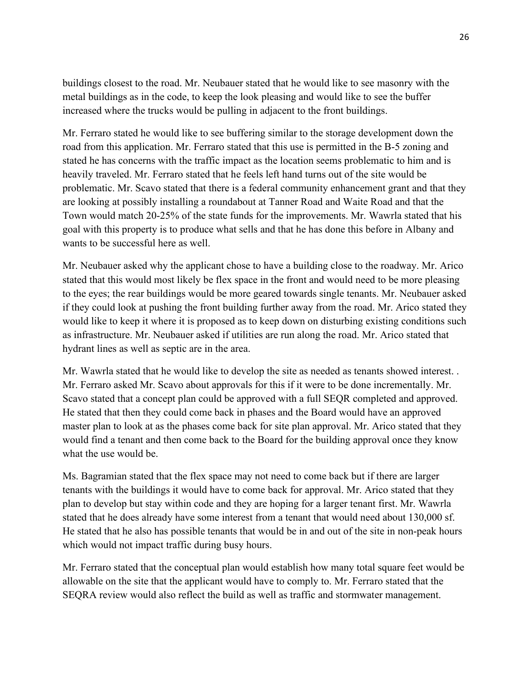buildings closest to the road. Mr. Neubauer stated that he would like to see masonry with the metal buildings as in the code, to keep the look pleasing and would like to see the buffer increased where the trucks would be pulling in adjacent to the front buildings.

Mr. Ferraro stated he would like to see buffering similar to the storage development down the road from this application. Mr. Ferraro stated that this use is permitted in the B-5 zoning and stated he has concerns with the traffic impact as the location seems problematic to him and is heavily traveled. Mr. Ferraro stated that he feels left hand turns out of the site would be problematic. Mr. Scavo stated that there is a federal community enhancement grant and that they are looking at possibly installing a roundabout at Tanner Road and Waite Road and that the Town would match 20-25% of the state funds for the improvements. Mr. Wawrla stated that his goal with this property is to produce what sells and that he has done this before in Albany and wants to be successful here as well.

Mr. Neubauer asked why the applicant chose to have a building close to the roadway. Mr. Arico stated that this would most likely be flex space in the front and would need to be more pleasing to the eyes; the rear buildings would be more geared towards single tenants. Mr. Neubauer asked if they could look at pushing the front building further away from the road. Mr. Arico stated they would like to keep it where it is proposed as to keep down on disturbing existing conditions such as infrastructure. Mr. Neubauer asked if utilities are run along the road. Mr. Arico stated that hydrant lines as well as septic are in the area.

Mr. Wawrla stated that he would like to develop the site as needed as tenants showed interest. . Mr. Ferraro asked Mr. Scavo about approvals for this if it were to be done incrementally. Mr. Scavo stated that a concept plan could be approved with a full SEQR completed and approved. He stated that then they could come back in phases and the Board would have an approved master plan to look at as the phases come back for site plan approval. Mr. Arico stated that they would find a tenant and then come back to the Board for the building approval once they know what the use would be.

Ms. Bagramian stated that the flex space may not need to come back but if there are larger tenants with the buildings it would have to come back for approval. Mr. Arico stated that they plan to develop but stay within code and they are hoping for a larger tenant first. Mr. Wawrla stated that he does already have some interest from a tenant that would need about 130,000 sf. He stated that he also has possible tenants that would be in and out of the site in non-peak hours which would not impact traffic during busy hours.

Mr. Ferraro stated that the conceptual plan would establish how many total square feet would be allowable on the site that the applicant would have to comply to. Mr. Ferraro stated that the SEQRA review would also reflect the build as well as traffic and stormwater management.